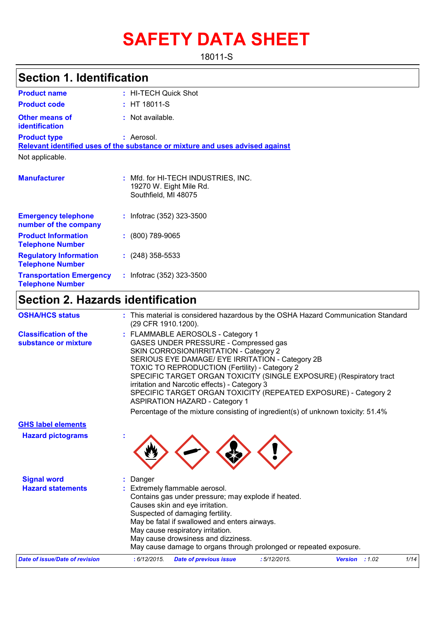# **SAFETY DATA SHEET**

18011-S

### **Section 1. Identification**

| <b>Product name</b>                                      | : HI-TECH Quick Shot                                                                   |
|----------------------------------------------------------|----------------------------------------------------------------------------------------|
| <b>Product code</b>                                      | $:$ HT 18011-S                                                                         |
| <b>Other means of</b><br>identification                  | : Not available.                                                                       |
| <b>Product type</b>                                      | : Aerosol.                                                                             |
|                                                          | Relevant identified uses of the substance or mixture and uses advised against          |
| Not applicable.                                          |                                                                                        |
| <b>Manufacturer</b>                                      | : Mfd. for HI-TECH INDUSTRIES, INC.<br>19270 W. Eight Mile Rd.<br>Southfield, MI 48075 |
| <b>Emergency telephone</b><br>number of the company      | : Infotrac $(352)$ 323-3500                                                            |
| <b>Product Information</b><br><b>Telephone Number</b>    | $: (800) 789-9065$                                                                     |
| <b>Regulatory Information</b><br><b>Telephone Number</b> | $: (248)$ 358-5533                                                                     |
| <b>Transportation Emergency</b>                          | : Infotrac $(352)$ 323-3500                                                            |

### **Section 2. Hazards identification**

**Telephone Number**

| <b>OSHA/HCS status</b>                               | (29 CFR 1910.1200).                                                                                                                                                                                                                                                                       | : This material is considered hazardous by the OSHA Hazard Communication Standard                                                                                                          |                |      |
|------------------------------------------------------|-------------------------------------------------------------------------------------------------------------------------------------------------------------------------------------------------------------------------------------------------------------------------------------------|--------------------------------------------------------------------------------------------------------------------------------------------------------------------------------------------|----------------|------|
| <b>Classification of the</b><br>substance or mixture | : FLAMMABLE AEROSOLS - Category 1<br>GASES UNDER PRESSURE - Compressed gas<br>SKIN CORROSION/IRRITATION - Category 2<br><b>TOXIC TO REPRODUCTION (Fertility) - Category 2</b><br>irritation and Narcotic effects) - Category 3<br><b>ASPIRATION HAZARD - Category 1</b>                   | SERIOUS EYE DAMAGE/ EYE IRRITATION - Category 2B<br>SPECIFIC TARGET ORGAN TOXICITY (SINGLE EXPOSURE) (Respiratory tract<br>SPECIFIC TARGET ORGAN TOXICITY (REPEATED EXPOSURE) - Category 2 |                |      |
|                                                      |                                                                                                                                                                                                                                                                                           | Percentage of the mixture consisting of ingredient(s) of unknown toxicity: 51.4%                                                                                                           |                |      |
| <b>GHS label elements</b>                            |                                                                                                                                                                                                                                                                                           |                                                                                                                                                                                            |                |      |
| <b>Hazard pictograms</b>                             |                                                                                                                                                                                                                                                                                           |                                                                                                                                                                                            |                |      |
| <b>Signal word</b>                                   | Danger                                                                                                                                                                                                                                                                                    |                                                                                                                                                                                            |                |      |
| <b>Hazard statements</b>                             | : Extremely flammable aerosol.<br>Contains gas under pressure; may explode if heated.<br>Causes skin and eye irritation.<br>Suspected of damaging fertility.<br>May be fatal if swallowed and enters airways.<br>May cause respiratory irritation.<br>May cause drowsiness and dizziness. | May cause damage to organs through prolonged or repeated exposure.                                                                                                                         |                |      |
| <b>Date of issue/Date of revision</b>                | : 6/12/2015.<br><b>Date of previous issue</b>                                                                                                                                                                                                                                             | :5/12/2015.                                                                                                                                                                                | Version : 1.02 | 1/14 |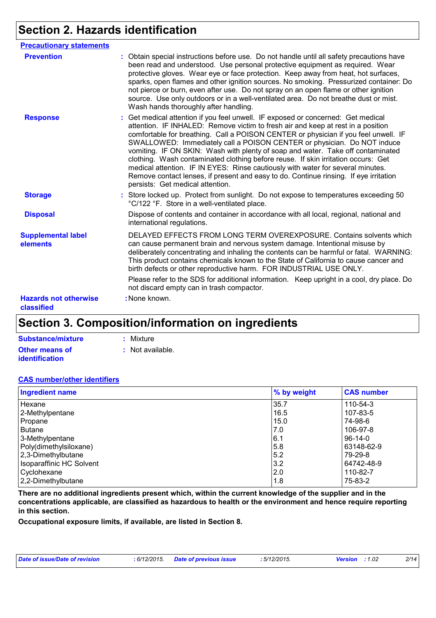### **Section 2. Hazards identification**

| <b>Precautionary statements</b>            |                                                                                                                                                                                                                                                                                                                                                                                                                                                                                                                                                                                                                                                                                                                                |
|--------------------------------------------|--------------------------------------------------------------------------------------------------------------------------------------------------------------------------------------------------------------------------------------------------------------------------------------------------------------------------------------------------------------------------------------------------------------------------------------------------------------------------------------------------------------------------------------------------------------------------------------------------------------------------------------------------------------------------------------------------------------------------------|
| <b>Prevention</b>                          | : Obtain special instructions before use. Do not handle until all safety precautions have<br>been read and understood. Use personal protective equipment as required. Wear<br>protective gloves. Wear eye or face protection. Keep away from heat, hot surfaces,<br>sparks, open flames and other ignition sources. No smoking. Pressurized container: Do<br>not pierce or burn, even after use. Do not spray on an open flame or other ignition<br>source. Use only outdoors or in a well-ventilated area. Do not breathe dust or mist.<br>Wash hands thoroughly after handling.                                                                                                                                              |
| <b>Response</b>                            | : Get medical attention if you feel unwell. IF exposed or concerned: Get medical<br>attention. IF INHALED: Remove victim to fresh air and keep at rest in a position<br>comfortable for breathing. Call a POISON CENTER or physician if you feel unwell. IF<br>SWALLOWED: Immediately call a POISON CENTER or physician. Do NOT induce<br>vomiting. IF ON SKIN: Wash with plenty of soap and water. Take off contaminated<br>clothing. Wash contaminated clothing before reuse. If skin irritation occurs: Get<br>medical attention. IF IN EYES: Rinse cautiously with water for several minutes.<br>Remove contact lenses, if present and easy to do. Continue rinsing. If eye irritation<br>persists: Get medical attention. |
| <b>Storage</b>                             | : Store locked up. Protect from sunlight. Do not expose to temperatures exceeding 50<br>°C/122 °F. Store in a well-ventilated place.                                                                                                                                                                                                                                                                                                                                                                                                                                                                                                                                                                                           |
| <b>Disposal</b>                            | Dispose of contents and container in accordance with all local, regional, national and<br>international regulations.                                                                                                                                                                                                                                                                                                                                                                                                                                                                                                                                                                                                           |
| <b>Supplemental label</b><br>elements      | DELAYED EFFECTS FROM LONG TERM OVEREXPOSURE. Contains solvents which<br>can cause permanent brain and nervous system damage. Intentional misuse by<br>deliberately concentrating and inhaling the contents can be harmful or fatal. WARNING:<br>This product contains chemicals known to the State of California to cause cancer and<br>birth defects or other reproductive harm. FOR INDUSTRIAL USE ONLY.                                                                                                                                                                                                                                                                                                                     |
|                                            | Please refer to the SDS for additional information. Keep upright in a cool, dry place. Do<br>not discard empty can in trash compactor.                                                                                                                                                                                                                                                                                                                                                                                                                                                                                                                                                                                         |
| <b>Hazards not otherwise</b><br>classified | : None known.                                                                                                                                                                                                                                                                                                                                                                                                                                                                                                                                                                                                                                                                                                                  |

### **Section 3. Composition/information on ingredients**

| Substance/mixture     | : Mixture        |
|-----------------------|------------------|
| <b>Other means of</b> | : Not available. |
| <b>identification</b> |                  |

#### **CAS number/other identifiers**

| <b>Ingredient name</b>   | % by weight | <b>CAS number</b> |  |
|--------------------------|-------------|-------------------|--|
| Hexane                   | 35.7        | 110-54-3          |  |
| 2-Methylpentane          | 16.5        | 107-83-5          |  |
| Propane                  | 15.0        | 74-98-6           |  |
| <b>Butane</b>            | 7.0         | 106-97-8          |  |
| 3-Methylpentane          | 6.1         | $96-14-0$         |  |
| Poly(dimethylsiloxane)   | 5.8         | 63148-62-9        |  |
| $ 2,3$ -Dimethylbutane   | 5.2         | 79-29-8           |  |
| Isoparaffinic HC Solvent | 3.2         | 64742-48-9        |  |
| Cyclohexane              | 2.0         | 110-82-7          |  |
| 2,2-Dimethylbutane       | 1.8         | 75-83-2           |  |

**There are no additional ingredients present which, within the current knowledge of the supplier and in the concentrations applicable, are classified as hazardous to health or the environment and hence require reporting in this section.**

**Occupational exposure limits, if available, are listed in Section 8.**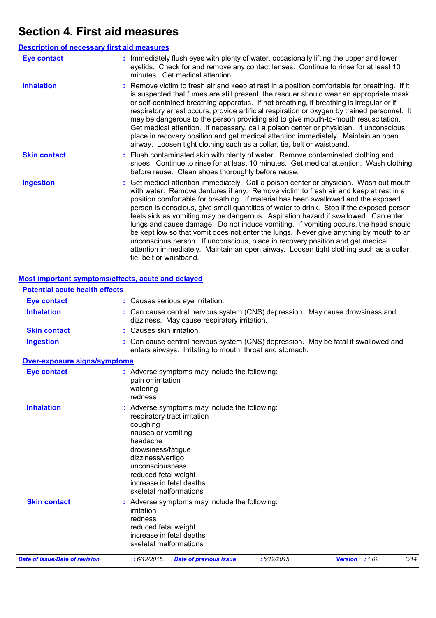## **Section 4. First aid measures**

|                     | <b>Description of necessary first aid measures</b>                                                                                                                                                                                                                                                                                                                                                                                                                                                                                                                                                                                                                                                                                                                                                                                              |
|---------------------|-------------------------------------------------------------------------------------------------------------------------------------------------------------------------------------------------------------------------------------------------------------------------------------------------------------------------------------------------------------------------------------------------------------------------------------------------------------------------------------------------------------------------------------------------------------------------------------------------------------------------------------------------------------------------------------------------------------------------------------------------------------------------------------------------------------------------------------------------|
| <b>Eye contact</b>  | : Immediately flush eyes with plenty of water, occasionally lifting the upper and lower<br>eyelids. Check for and remove any contact lenses. Continue to rinse for at least 10<br>minutes. Get medical attention.                                                                                                                                                                                                                                                                                                                                                                                                                                                                                                                                                                                                                               |
| <b>Inhalation</b>   | : Remove victim to fresh air and keep at rest in a position comfortable for breathing. If it<br>is suspected that fumes are still present, the rescuer should wear an appropriate mask<br>or self-contained breathing apparatus. If not breathing, if breathing is irregular or if<br>respiratory arrest occurs, provide artificial respiration or oxygen by trained personnel. It<br>may be dangerous to the person providing aid to give mouth-to-mouth resuscitation.<br>Get medical attention. If necessary, call a poison center or physician. If unconscious,<br>place in recovery position and get medical attention immediately. Maintain an open<br>airway. Loosen tight clothing such as a collar, tie, belt or waistband.                                                                                                            |
| <b>Skin contact</b> | : Flush contaminated skin with plenty of water. Remove contaminated clothing and<br>shoes. Continue to rinse for at least 10 minutes. Get medical attention. Wash clothing<br>before reuse. Clean shoes thoroughly before reuse.                                                                                                                                                                                                                                                                                                                                                                                                                                                                                                                                                                                                                |
| <b>Ingestion</b>    | : Get medical attention immediately. Call a poison center or physician. Wash out mouth<br>with water. Remove dentures if any. Remove victim to fresh air and keep at rest in a<br>position comfortable for breathing. If material has been swallowed and the exposed<br>person is conscious, give small quantities of water to drink. Stop if the exposed person<br>feels sick as vomiting may be dangerous. Aspiration hazard if swallowed. Can enter<br>lungs and cause damage. Do not induce vomiting. If vomiting occurs, the head should<br>be kept low so that vomit does not enter the lungs. Never give anything by mouth to an<br>unconscious person. If unconscious, place in recovery position and get medical<br>attention immediately. Maintain an open airway. Loosen tight clothing such as a collar,<br>tie, belt or waistband. |

#### **Most important symptoms/effects, acute and delayed**

| <b>Potential acute health effects</b> |                                                                                                                                                                                                                                                                       |
|---------------------------------------|-----------------------------------------------------------------------------------------------------------------------------------------------------------------------------------------------------------------------------------------------------------------------|
| <b>Eye contact</b>                    | : Causes serious eye irritation.                                                                                                                                                                                                                                      |
| <b>Inhalation</b>                     | : Can cause central nervous system (CNS) depression. May cause drowsiness and<br>dizziness. May cause respiratory irritation.                                                                                                                                         |
| <b>Skin contact</b>                   | : Causes skin irritation.                                                                                                                                                                                                                                             |
| <b>Ingestion</b>                      | Can cause central nervous system (CNS) depression. May be fatal if swallowed and<br>enters airways. Irritating to mouth, throat and stomach.                                                                                                                          |
| <b>Over-exposure signs/symptoms</b>   |                                                                                                                                                                                                                                                                       |
| <b>Eye contact</b>                    | : Adverse symptoms may include the following:<br>pain or irritation<br>watering<br>redness                                                                                                                                                                            |
| <b>Inhalation</b>                     | Adverse symptoms may include the following:<br>respiratory tract irritation<br>coughing<br>nausea or vomiting<br>headache<br>drowsiness/fatigue<br>dizziness/vertigo<br>unconsciousness<br>reduced fetal weight<br>increase in fetal deaths<br>skeletal malformations |
| <b>Skin contact</b>                   | : Adverse symptoms may include the following:<br>irritation<br>redness<br>reduced fetal weight<br>increase in fetal deaths<br>skeletal malformations                                                                                                                  |
| Date of issue/Date of revision        | : 5/12/2015.<br>3/14<br>: 6/12/2015.<br><b>Date of previous issue</b><br>Version : 1.02                                                                                                                                                                               |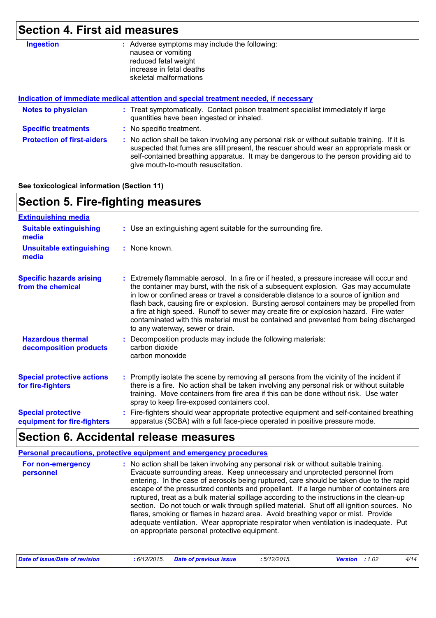## **Section 4. First aid measures**

| <b>Ingestion</b>                  | : Adverse symptoms may include the following:<br>nausea or vomiting<br>reduced fetal weight<br>increase in fetal deaths<br>skeletal malformations                                                                                                                                                                       |
|-----------------------------------|-------------------------------------------------------------------------------------------------------------------------------------------------------------------------------------------------------------------------------------------------------------------------------------------------------------------------|
|                                   | Indication of immediate medical attention and special treatment needed, if necessary                                                                                                                                                                                                                                    |
| <b>Notes to physician</b>         | : Treat symptomatically. Contact poison treatment specialist immediately if large<br>quantities have been ingested or inhaled.                                                                                                                                                                                          |
| <b>Specific treatments</b>        | : No specific treatment.                                                                                                                                                                                                                                                                                                |
| <b>Protection of first-aiders</b> | : No action shall be taken involving any personal risk or without suitable training. If it is<br>suspected that fumes are still present, the rescuer should wear an appropriate mask or<br>self-contained breathing apparatus. It may be dangerous to the person providing aid to<br>give mouth-to-mouth resuscitation. |

#### **See toxicological information (Section 11)**

| <b>Section 5. Fire-fighting measures</b>                 |                                                                                                                                                                                                                                                                                                                                                                                                                                                                                                                                                                                               |  |
|----------------------------------------------------------|-----------------------------------------------------------------------------------------------------------------------------------------------------------------------------------------------------------------------------------------------------------------------------------------------------------------------------------------------------------------------------------------------------------------------------------------------------------------------------------------------------------------------------------------------------------------------------------------------|--|
| <b>Extinguishing media</b>                               |                                                                                                                                                                                                                                                                                                                                                                                                                                                                                                                                                                                               |  |
| <b>Suitable extinguishing</b><br>media                   | : Use an extinguishing agent suitable for the surrounding fire.                                                                                                                                                                                                                                                                                                                                                                                                                                                                                                                               |  |
| <b>Unsuitable extinguishing</b><br>media                 | : None known.                                                                                                                                                                                                                                                                                                                                                                                                                                                                                                                                                                                 |  |
| <b>Specific hazards arising</b><br>from the chemical     | : Extremely flammable aerosol. In a fire or if heated, a pressure increase will occur and<br>the container may burst, with the risk of a subsequent explosion. Gas may accumulate<br>in low or confined areas or travel a considerable distance to a source of ignition and<br>flash back, causing fire or explosion. Bursting aerosol containers may be propelled from<br>a fire at high speed. Runoff to sewer may create fire or explosion hazard. Fire water<br>contaminated with this material must be contained and prevented from being discharged<br>to any waterway, sewer or drain. |  |
| <b>Hazardous thermal</b><br>decomposition products       | : Decomposition products may include the following materials:<br>carbon dioxide<br>carbon monoxide                                                                                                                                                                                                                                                                                                                                                                                                                                                                                            |  |
| <b>Special protective actions</b><br>for fire-fighters   | : Promptly isolate the scene by removing all persons from the vicinity of the incident if<br>there is a fire. No action shall be taken involving any personal risk or without suitable<br>training. Move containers from fire area if this can be done without risk. Use water<br>spray to keep fire-exposed containers cool.                                                                                                                                                                                                                                                                 |  |
| <b>Special protective</b><br>equipment for fire-fighters | : Fire-fighters should wear appropriate protective equipment and self-contained breathing<br>apparatus (SCBA) with a full face-piece operated in positive pressure mode.                                                                                                                                                                                                                                                                                                                                                                                                                      |  |

### **Section 6. Accidental release measures**

| Personal precautions, protective equipment and emergency procedures |                                                                                                                                                                                                                                                                                                                                                                                                                                                                                                                                                                                                                                                                                                                                                                                |
|---------------------------------------------------------------------|--------------------------------------------------------------------------------------------------------------------------------------------------------------------------------------------------------------------------------------------------------------------------------------------------------------------------------------------------------------------------------------------------------------------------------------------------------------------------------------------------------------------------------------------------------------------------------------------------------------------------------------------------------------------------------------------------------------------------------------------------------------------------------|
| For non-emergency<br>personnel                                      | No action shall be taken involving any personal risk or without suitable training.<br>Evacuate surrounding areas. Keep unnecessary and unprotected personnel from<br>entering. In the case of aerosols being ruptured, care should be taken due to the rapid<br>escape of the pressurized contents and propellant. If a large number of containers are<br>ruptured, treat as a bulk material spillage according to the instructions in the clean-up<br>section. Do not touch or walk through spilled material. Shut off all ignition sources. No<br>flares, smoking or flames in hazard area. Avoid breathing vapor or mist. Provide<br>adequate ventilation. Wear appropriate respirator when ventilation is inadequate. Put<br>on appropriate personal protective equipment. |

| Date of issue/Date of revision | : 6/12/2015 Date of previous issue | : 5/12/2015. | <b>Version</b> : 1.02 |  |
|--------------------------------|------------------------------------|--------------|-----------------------|--|
|--------------------------------|------------------------------------|--------------|-----------------------|--|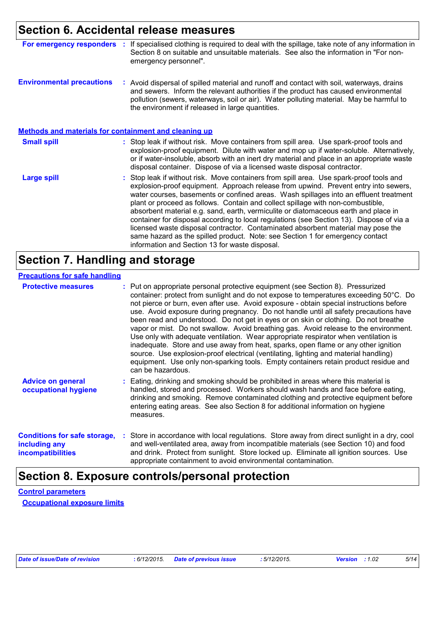### **Section 6. Accidental release measures**

| For emergency responders                                     | If specialised clothing is required to deal with the spillage, take note of any information in<br>Section 8 on suitable and unsuitable materials. See also the information in "For non-<br>emergency personnel".                                                                                                                                                                                                                                                                                                                                                                                                                                                                                                                                                     |
|--------------------------------------------------------------|----------------------------------------------------------------------------------------------------------------------------------------------------------------------------------------------------------------------------------------------------------------------------------------------------------------------------------------------------------------------------------------------------------------------------------------------------------------------------------------------------------------------------------------------------------------------------------------------------------------------------------------------------------------------------------------------------------------------------------------------------------------------|
| <b>Environmental precautions</b>                             | : Avoid dispersal of spilled material and runoff and contact with soil, waterways, drains<br>and sewers. Inform the relevant authorities if the product has caused environmental<br>pollution (sewers, waterways, soil or air). Water polluting material. May be harmful to<br>the environment if released in large quantities.                                                                                                                                                                                                                                                                                                                                                                                                                                      |
| <b>Methods and materials for containment and cleaning up</b> |                                                                                                                                                                                                                                                                                                                                                                                                                                                                                                                                                                                                                                                                                                                                                                      |
| <b>Small spill</b>                                           | : Stop leak if without risk. Move containers from spill area. Use spark-proof tools and<br>explosion-proof equipment. Dilute with water and mop up if water-soluble. Alternatively,<br>or if water-insoluble, absorb with an inert dry material and place in an appropriate waste<br>disposal container. Dispose of via a licensed waste disposal contractor.                                                                                                                                                                                                                                                                                                                                                                                                        |
| <b>Large spill</b>                                           | : Stop leak if without risk. Move containers from spill area. Use spark-proof tools and<br>explosion-proof equipment. Approach release from upwind. Prevent entry into sewers,<br>water courses, basements or confined areas. Wash spillages into an effluent treatment<br>plant or proceed as follows. Contain and collect spillage with non-combustible,<br>absorbent material e.g. sand, earth, vermiculite or diatomaceous earth and place in<br>container for disposal according to local regulations (see Section 13). Dispose of via a<br>licensed waste disposal contractor. Contaminated absorbent material may pose the<br>same hazard as the spilled product. Note: see Section 1 for emergency contact<br>information and Section 13 for waste disposal. |

### **Section 7. Handling and storage**

| <b>Protective measures</b>                                                       | : Put on appropriate personal protective equipment (see Section 8). Pressurized<br>container: protect from sunlight and do not expose to temperatures exceeding 50°C. Do<br>not pierce or burn, even after use. Avoid exposure - obtain special instructions before<br>use. Avoid exposure during pregnancy. Do not handle until all safety precautions have<br>been read and understood. Do not get in eyes or on skin or clothing. Do not breathe<br>vapor or mist. Do not swallow. Avoid breathing gas. Avoid release to the environment.<br>Use only with adequate ventilation. Wear appropriate respirator when ventilation is<br>inadequate. Store and use away from heat, sparks, open flame or any other ignition<br>source. Use explosion-proof electrical (ventilating, lighting and material handling)<br>equipment. Use only non-sparking tools. Empty containers retain product residue and<br>can be hazardous. |  |
|----------------------------------------------------------------------------------|-------------------------------------------------------------------------------------------------------------------------------------------------------------------------------------------------------------------------------------------------------------------------------------------------------------------------------------------------------------------------------------------------------------------------------------------------------------------------------------------------------------------------------------------------------------------------------------------------------------------------------------------------------------------------------------------------------------------------------------------------------------------------------------------------------------------------------------------------------------------------------------------------------------------------------|--|
| <b>Advice on general</b><br>occupational hygiene                                 | : Eating, drinking and smoking should be prohibited in areas where this material is<br>handled, stored and processed. Workers should wash hands and face before eating,<br>drinking and smoking. Remove contaminated clothing and protective equipment before<br>entering eating areas. See also Section 8 for additional information on hygiene<br>measures.                                                                                                                                                                                                                                                                                                                                                                                                                                                                                                                                                                 |  |
| <b>Conditions for safe storage,</b><br>including any<br><b>incompatibilities</b> | : Store in accordance with local regulations. Store away from direct sunlight in a dry, cool<br>and well-ventilated area, away from incompatible materials (see Section 10) and food<br>and drink. Protect from sunlight. Store locked up. Eliminate all ignition sources. Use<br>appropriate containment to avoid environmental contamination.                                                                                                                                                                                                                                                                                                                                                                                                                                                                                                                                                                               |  |

### **Section 8. Exposure controls/personal protection**

**Control parameters Occupational exposure limits**

*Date of issue/Date of revision* **:** *6/12/2015. Date of previous issue : 5/12/2015. Version : 1.02 5/14*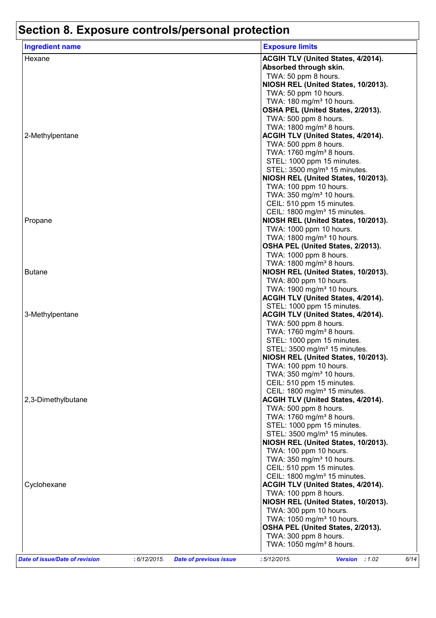# **Section 8. Exposure controls/personal protection**

| <b>Ingredient name</b>                                                          | <b>Exposure limits</b>                                                         |
|---------------------------------------------------------------------------------|--------------------------------------------------------------------------------|
| Hexane                                                                          | ACGIH TLV (United States, 4/2014).                                             |
|                                                                                 | Absorbed through skin.                                                         |
|                                                                                 | TWA: 50 ppm 8 hours.                                                           |
|                                                                                 | NIOSH REL (United States, 10/2013).                                            |
|                                                                                 | TWA: 50 ppm 10 hours.                                                          |
|                                                                                 | TWA: 180 mg/m <sup>3</sup> 10 hours.                                           |
|                                                                                 | OSHA PEL (United States, 2/2013).                                              |
|                                                                                 | TWA: 500 ppm 8 hours.                                                          |
|                                                                                 | TWA: 1800 mg/m <sup>3</sup> 8 hours.                                           |
| 2-Methylpentane                                                                 | ACGIH TLV (United States, 4/2014).                                             |
|                                                                                 | TWA: 500 ppm 8 hours.                                                          |
|                                                                                 | TWA: 1760 mg/m <sup>3</sup> 8 hours.                                           |
|                                                                                 | STEL: 1000 ppm 15 minutes.                                                     |
|                                                                                 | STEL: 3500 mg/m <sup>3</sup> 15 minutes.                                       |
|                                                                                 | NIOSH REL (United States, 10/2013).                                            |
|                                                                                 | TWA: 100 ppm 10 hours.                                                         |
|                                                                                 | TWA: 350 mg/m <sup>3</sup> 10 hours.                                           |
|                                                                                 | CEIL: 510 ppm 15 minutes.<br>CEIL: 1800 mg/m <sup>3</sup> 15 minutes.          |
| Propane                                                                         | NIOSH REL (United States, 10/2013).                                            |
|                                                                                 | TWA: 1000 ppm 10 hours.                                                        |
|                                                                                 | TWA: 1800 mg/m <sup>3</sup> 10 hours.                                          |
|                                                                                 | OSHA PEL (United States, 2/2013).                                              |
|                                                                                 | TWA: 1000 ppm 8 hours.                                                         |
|                                                                                 | TWA: 1800 mg/m <sup>3</sup> 8 hours.                                           |
| <b>Butane</b>                                                                   | NIOSH REL (United States, 10/2013).                                            |
|                                                                                 | TWA: 800 ppm 10 hours.                                                         |
|                                                                                 | TWA: 1900 mg/m <sup>3</sup> 10 hours.                                          |
|                                                                                 | ACGIH TLV (United States, 4/2014).                                             |
|                                                                                 | STEL: 1000 ppm 15 minutes.                                                     |
| 3-Methylpentane                                                                 | ACGIH TLV (United States, 4/2014).                                             |
|                                                                                 | TWA: 500 ppm 8 hours.                                                          |
|                                                                                 | TWA: 1760 mg/m <sup>3</sup> 8 hours.                                           |
|                                                                                 | STEL: 1000 ppm 15 minutes.                                                     |
|                                                                                 | STEL: 3500 mg/m <sup>3</sup> 15 minutes.                                       |
|                                                                                 | NIOSH REL (United States, 10/2013).                                            |
|                                                                                 | TWA: 100 ppm 10 hours.                                                         |
|                                                                                 | TWA: 350 mg/m <sup>3</sup> 10 hours.                                           |
|                                                                                 | CEIL: 510 ppm 15 minutes.                                                      |
| 2,3-Dimethylbutane                                                              | CEIL: 1800 mg/m <sup>3</sup> 15 minutes.<br>ACGIH TLV (United States, 4/2014). |
|                                                                                 | TWA: 500 ppm 8 hours.                                                          |
|                                                                                 | TWA: 1760 mg/m <sup>3</sup> 8 hours.                                           |
|                                                                                 | STEL: 1000 ppm 15 minutes.                                                     |
|                                                                                 | STEL: 3500 mg/m <sup>3</sup> 15 minutes.                                       |
|                                                                                 | NIOSH REL (United States, 10/2013).                                            |
|                                                                                 | TWA: 100 ppm 10 hours.                                                         |
|                                                                                 | TWA: 350 mg/m <sup>3</sup> 10 hours.                                           |
|                                                                                 | CEIL: 510 ppm 15 minutes.                                                      |
|                                                                                 | CEIL: 1800 mg/m <sup>3</sup> 15 minutes.                                       |
| Cyclohexane                                                                     | ACGIH TLV (United States, 4/2014).                                             |
|                                                                                 | TWA: 100 ppm 8 hours.                                                          |
|                                                                                 | NIOSH REL (United States, 10/2013).                                            |
|                                                                                 | TWA: 300 ppm 10 hours.                                                         |
|                                                                                 | TWA: 1050 mg/m <sup>3</sup> 10 hours.                                          |
|                                                                                 | OSHA PEL (United States, 2/2013).                                              |
|                                                                                 | TWA: 300 ppm 8 hours.                                                          |
|                                                                                 | TWA: 1050 mg/m <sup>3</sup> 8 hours.                                           |
| Date of issue/Date of revision<br>: 6/12/2015.<br><b>Date of previous issue</b> | :5/12/2015.<br>Version : 1.02<br>6/14                                          |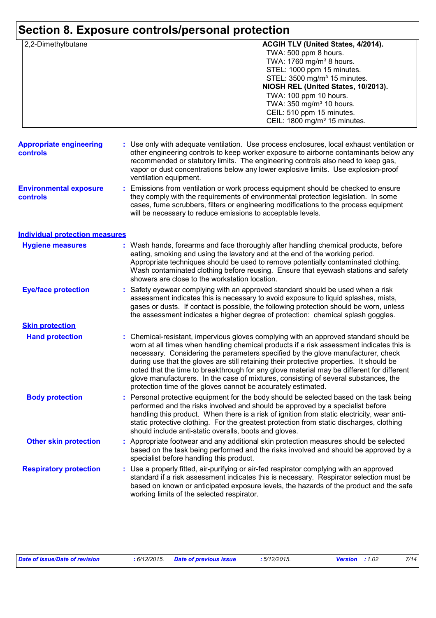| 2,2-Dimethylbutane                               | <b>ACGIH TLV (United States, 4/2014).</b>                                                                                                                                                                                                                                                                                                                                                                                                                                                                                                                                                                              |
|--------------------------------------------------|------------------------------------------------------------------------------------------------------------------------------------------------------------------------------------------------------------------------------------------------------------------------------------------------------------------------------------------------------------------------------------------------------------------------------------------------------------------------------------------------------------------------------------------------------------------------------------------------------------------------|
|                                                  | TWA: 500 ppm 8 hours.                                                                                                                                                                                                                                                                                                                                                                                                                                                                                                                                                                                                  |
|                                                  | TWA: 1760 mg/m <sup>3</sup> 8 hours.                                                                                                                                                                                                                                                                                                                                                                                                                                                                                                                                                                                   |
|                                                  |                                                                                                                                                                                                                                                                                                                                                                                                                                                                                                                                                                                                                        |
|                                                  | STEL: 1000 ppm 15 minutes.                                                                                                                                                                                                                                                                                                                                                                                                                                                                                                                                                                                             |
|                                                  | STEL: 3500 mg/m <sup>3</sup> 15 minutes.                                                                                                                                                                                                                                                                                                                                                                                                                                                                                                                                                                               |
|                                                  | NIOSH REL (United States, 10/2013).                                                                                                                                                                                                                                                                                                                                                                                                                                                                                                                                                                                    |
|                                                  | TWA: 100 ppm 10 hours.                                                                                                                                                                                                                                                                                                                                                                                                                                                                                                                                                                                                 |
|                                                  | TWA: 350 mg/m <sup>3</sup> 10 hours.                                                                                                                                                                                                                                                                                                                                                                                                                                                                                                                                                                                   |
|                                                  | CEIL: 510 ppm 15 minutes.                                                                                                                                                                                                                                                                                                                                                                                                                                                                                                                                                                                              |
|                                                  | CEIL: 1800 mg/m <sup>3</sup> 15 minutes.                                                                                                                                                                                                                                                                                                                                                                                                                                                                                                                                                                               |
|                                                  |                                                                                                                                                                                                                                                                                                                                                                                                                                                                                                                                                                                                                        |
| <b>Appropriate engineering</b><br>controls       | : Use only with adequate ventilation. Use process enclosures, local exhaust ventilation or<br>other engineering controls to keep worker exposure to airborne contaminants below any<br>recommended or statutory limits. The engineering controls also need to keep gas,<br>vapor or dust concentrations below any lower explosive limits. Use explosion-proof<br>ventilation equipment.                                                                                                                                                                                                                                |
|                                                  |                                                                                                                                                                                                                                                                                                                                                                                                                                                                                                                                                                                                                        |
| <b>Environmental exposure</b><br><b>controls</b> | Emissions from ventilation or work process equipment should be checked to ensure<br>÷.<br>they comply with the requirements of environmental protection legislation. In some<br>cases, fume scrubbers, filters or engineering modifications to the process equipment<br>will be necessary to reduce emissions to acceptable levels.                                                                                                                                                                                                                                                                                    |
| <b>Individual protection measures</b>            |                                                                                                                                                                                                                                                                                                                                                                                                                                                                                                                                                                                                                        |
| <b>Hygiene measures</b>                          | : Wash hands, forearms and face thoroughly after handling chemical products, before<br>eating, smoking and using the lavatory and at the end of the working period.<br>Appropriate techniques should be used to remove potentially contaminated clothing.<br>Wash contaminated clothing before reusing. Ensure that eyewash stations and safety<br>showers are close to the workstation location.                                                                                                                                                                                                                      |
| <b>Eye/face protection</b>                       | Safety eyewear complying with an approved standard should be used when a risk<br>÷.<br>assessment indicates this is necessary to avoid exposure to liquid splashes, mists,<br>gases or dusts. If contact is possible, the following protection should be worn, unless<br>the assessment indicates a higher degree of protection: chemical splash goggles.                                                                                                                                                                                                                                                              |
| <b>Skin protection</b>                           |                                                                                                                                                                                                                                                                                                                                                                                                                                                                                                                                                                                                                        |
| <b>Hand protection</b>                           | : Chemical-resistant, impervious gloves complying with an approved standard should be<br>worn at all times when handling chemical products if a risk assessment indicates this is<br>necessary. Considering the parameters specified by the glove manufacturer, check<br>during use that the gloves are still retaining their protective properties. It should be<br>noted that the time to breakthrough for any glove material may be different for different<br>glove manufacturers. In the case of mixtures, consisting of several substances, the<br>protection time of the gloves cannot be accurately estimated. |
| <b>Body protection</b>                           | Personal protective equipment for the body should be selected based on the task being<br>performed and the risks involved and should be approved by a specialist before<br>handling this product. When there is a risk of ignition from static electricity, wear anti-<br>static protective clothing. For the greatest protection from static discharges, clothing<br>should include anti-static overalls, boots and gloves.                                                                                                                                                                                           |
| <b>Other skin protection</b>                     | : Appropriate footwear and any additional skin protection measures should be selected<br>based on the task being performed and the risks involved and should be approved by a<br>specialist before handling this product.                                                                                                                                                                                                                                                                                                                                                                                              |
| <b>Respiratory protection</b>                    | : Use a properly fitted, air-purifying or air-fed respirator complying with an approved<br>standard if a risk assessment indicates this is necessary. Respirator selection must be<br>based on known or anticipated exposure levels, the hazards of the product and the safe<br>working limits of the selected respirator.                                                                                                                                                                                                                                                                                             |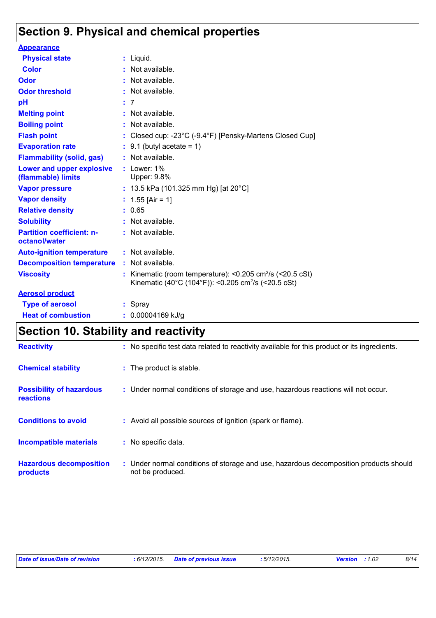### **Section 9. Physical and chemical properties**

| <b>Appearance</b>                                 |                                                                                                                                        |
|---------------------------------------------------|----------------------------------------------------------------------------------------------------------------------------------------|
| <b>Physical state</b>                             | $:$ Liquid.                                                                                                                            |
| <b>Color</b>                                      | : Not available.                                                                                                                       |
| Odor                                              | Not available.                                                                                                                         |
| <b>Odor threshold</b>                             | : Not available.                                                                                                                       |
| pH                                                | : 7                                                                                                                                    |
| <b>Melting point</b>                              | Not available.                                                                                                                         |
| <b>Boiling point</b>                              | Not available.                                                                                                                         |
| <b>Flash point</b>                                | : Closed cup: -23°C (-9.4°F) [Pensky-Martens Closed Cup]                                                                               |
| <b>Evaporation rate</b>                           | $\div$ 9.1 (butyl acetate = 1)                                                                                                         |
| <b>Flammability (solid, gas)</b>                  | : Not available.                                                                                                                       |
| Lower and upper explosive<br>(flammable) limits   | $:$ Lower: 1%<br>Upper: 9.8%                                                                                                           |
| <b>Vapor pressure</b>                             | : 13.5 kPa (101.325 mm Hg) [at 20°C]                                                                                                   |
| <b>Vapor density</b>                              | : $1.55$ [Air = 1]                                                                                                                     |
| <b>Relative density</b>                           | : 0.65                                                                                                                                 |
| <b>Solubility</b>                                 | : Not available.                                                                                                                       |
| <b>Partition coefficient: n-</b><br>octanol/water | : Not available.                                                                                                                       |
| <b>Auto-ignition temperature</b>                  | : Not available.                                                                                                                       |
| <b>Decomposition temperature</b>                  | $:$ Not available.                                                                                                                     |
| <b>Viscosity</b>                                  | Kinematic (room temperature): <0.205 cm <sup>2</sup> /s (<20.5 cSt)<br>Kinematic (40°C (104°F)): <0.205 cm <sup>2</sup> /s (<20.5 cSt) |
| <b>Aerosol product</b>                            |                                                                                                                                        |
| <b>Type of aerosol</b>                            | : Spray                                                                                                                                |
| <b>Heat of combustion</b>                         | 0.00004169 kJ/g                                                                                                                        |

### **Section 10. Stability and reactivity**

| <b>Reactivity</b>                                   | : No specific test data related to reactivity available for this product or its ingredients.              |
|-----------------------------------------------------|-----------------------------------------------------------------------------------------------------------|
| <b>Chemical stability</b>                           | : The product is stable.                                                                                  |
| <b>Possibility of hazardous</b><br><b>reactions</b> | : Under normal conditions of storage and use, hazardous reactions will not occur.                         |
| <b>Conditions to avoid</b>                          | : Avoid all possible sources of ignition (spark or flame).                                                |
| <b>Incompatible materials</b>                       | : No specific data.                                                                                       |
| <b>Hazardous decomposition</b><br>products          | : Under normal conditions of storage and use, hazardous decomposition products should<br>not be produced. |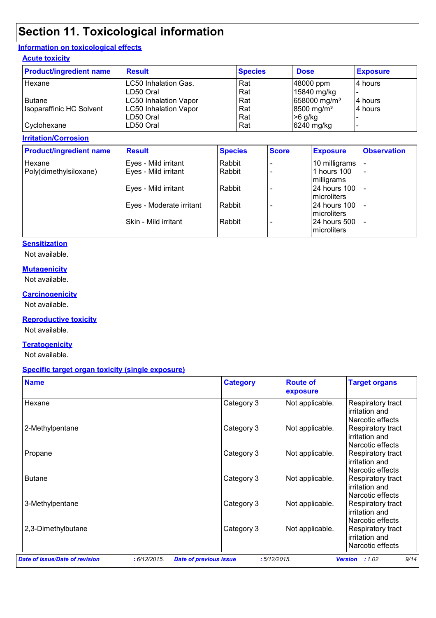### **Section 11. Toxicological information**

#### **Information on toxicological effects**

#### **Acute toxicity**

| <b>Product/ingredient name</b> | <b>Result</b>                | <b>Species</b> | <b>Dose</b>              | <b>Exposure</b> |
|--------------------------------|------------------------------|----------------|--------------------------|-----------------|
| Hexane                         | LC50 Inhalation Gas.         | Rat            | 48000 ppm                | l4 hours        |
|                                | ILD50 Oral                   | Rat            | 15840 mg/kg              |                 |
| <b>Butane</b>                  | <b>LC50 Inhalation Vapor</b> | Rat            | 658000 mg/m <sup>3</sup> | 4 hours         |
| Isoparaffinic HC Solvent       | LC50 Inhalation Vapor        | Rat            | 8500 mg/m <sup>3</sup>   | l4 hours        |
|                                | LD50 Oral                    | Rat            | $>6$ g/kg                |                 |
| Cyclohexane                    | LD50 Oral                    | Rat            | 6240 mg/kg               |                 |

#### **Irritation/Corrosion**

| <b>Product/ingredient name</b> | <b>Result</b>            | <b>Species</b> | <b>Score</b> | <b>Exposure</b>                     | <b>Observation</b>       |
|--------------------------------|--------------------------|----------------|--------------|-------------------------------------|--------------------------|
| Hexane                         | Eyes - Mild irritant     | Rabbit         |              | 10 milligrams                       |                          |
| Poly(dimethylsiloxane)         | Eyes - Mild irritant     | Rabbit         |              | 1 hours 100<br>milligrams           | $\overline{\phantom{a}}$ |
|                                | Eyes - Mild irritant     | Rabbit         |              | 24 hours 100<br><b>Imicroliters</b> | $\overline{\phantom{a}}$ |
|                                | Eyes - Moderate irritant | Rabbit         |              | 24 hours 100<br>microliters         |                          |
|                                | Skin - Mild irritant     | Rabbit         |              | 24 hours 500<br>microliters         | $\overline{\phantom{a}}$ |

#### **Sensitization**

Not available.

#### **Mutagenicity**

Not available.

#### **Carcinogenicity**

Not available.

#### **Reproductive toxicity**

Not available.

#### **Teratogenicity**

Not available.

#### **Specific target organ toxicity (single exposure)**

| <b>Name</b>        | <b>Category</b> | <b>Route of</b><br>exposure | <b>Target organs</b>                                    |
|--------------------|-----------------|-----------------------------|---------------------------------------------------------|
| Hexane             | Category 3      | Not applicable.             | Respiratory tract<br>irritation and<br>Narcotic effects |
| 2-Methylpentane    | Category 3      | Not applicable.             | Respiratory tract<br>irritation and<br>Narcotic effects |
| Propane            | Category 3      | Not applicable.             | Respiratory tract<br>irritation and<br>Narcotic effects |
| <b>Butane</b>      | Category 3      | Not applicable.             | Respiratory tract<br>irritation and<br>Narcotic effects |
| 3-Methylpentane    | Category 3      | Not applicable.             | Respiratory tract<br>irritation and<br>Narcotic effects |
| 2,3-Dimethylbutane | Category 3      | Not applicable.             | Respiratory tract<br>irritation and<br>Narcotic effects |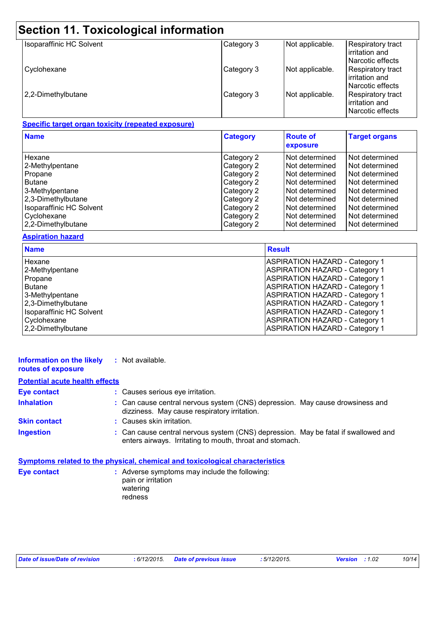| Section 11. Toxicological information |            |                 |                                                         |  |  |
|---------------------------------------|------------|-----------------|---------------------------------------------------------|--|--|
| Isoparaffinic HC Solvent              | Category 3 | Not applicable. | Respiratory tract<br>irritation and<br>Narcotic effects |  |  |
| Cyclohexane                           | Category 3 | Not applicable. | Respiratory tract<br>irritation and<br>Narcotic effects |  |  |
| 2,2-Dimethylbutane                    | Category 3 | Not applicable. | Respiratory tract<br>irritation and<br>Narcotic effects |  |  |

#### **Specific target organ toxicity (repeated exposure)**

| <b>Name</b>                     | <b>Category</b> | <b>Route of</b><br>exposure | <b>Target organs</b> |
|---------------------------------|-----------------|-----------------------------|----------------------|
| Hexane                          | Category 2      | Not determined              | Not determined       |
| 2-Methylpentane                 | Category 2      | Not determined              | Not determined       |
| Propane                         | Category 2      | Not determined              | Not determined       |
| <b>Butane</b>                   | Category 2      | Not determined              | Not determined       |
| 3-Methylpentane                 | Category 2      | Not determined              | Not determined       |
| 2,3-Dimethylbutane              | Category 2      | Not determined              | Not determined       |
| <b>Isoparaffinic HC Solvent</b> | Category 2      | Not determined              | Not determined       |
| Cyclohexane                     | Category 2      | Not determined              | Not determined       |
| 2,2-Dimethylbutane              | Category 2      | Not determined              | Not determined       |

#### **Aspiration hazard**

| <b>Name</b>                     | <b>Result</b>                         |
|---------------------------------|---------------------------------------|
| Hexane                          | <b>ASPIRATION HAZARD - Category 1</b> |
| 2-Methylpentane                 | <b>ASPIRATION HAZARD - Category 1</b> |
| Propane                         | <b>ASPIRATION HAZARD - Category 1</b> |
| <b>Butane</b>                   | <b>ASPIRATION HAZARD - Category 1</b> |
| 3-Methylpentane                 | <b>ASPIRATION HAZARD - Category 1</b> |
| 2,3-Dimethylbutane              | <b>ASPIRATION HAZARD - Category 1</b> |
| <b>Isoparaffinic HC Solvent</b> | <b>ASPIRATION HAZARD - Category 1</b> |
| Cyclohexane                     | <b>ASPIRATION HAZARD - Category 1</b> |
| 2,2-Dimethylbutane              | <b>ASPIRATION HAZARD - Category 1</b> |

| Information on the likely<br>routes of exposure | : Not available.                                                                                                                               |
|-------------------------------------------------|------------------------------------------------------------------------------------------------------------------------------------------------|
| <b>Potential acute health effects</b>           |                                                                                                                                                |
| <b>Eye contact</b>                              | : Causes serious eye irritation.                                                                                                               |
| <b>Inhalation</b>                               | : Can cause central nervous system (CNS) depression. May cause drowsiness and<br>dizziness. May cause respiratory irritation.                  |
| <b>Skin contact</b>                             | : Causes skin irritation.                                                                                                                      |
| <b>Ingestion</b>                                | : Can cause central nervous system (CNS) depression. May be fatal if swallowed and<br>enters airways. Irritating to mouth, throat and stomach. |
|                                                 | <b>Symptoms related to the physical, chemical and toxicological characteristics</b>                                                            |

| : Adverse symptoms may include the following:<br>pain or irritation<br>watering |
|---------------------------------------------------------------------------------|
| redness                                                                         |
|                                                                                 |

| Date of issue/Date of revision | : 6/12/2 |
|--------------------------------|----------|
|--------------------------------|----------|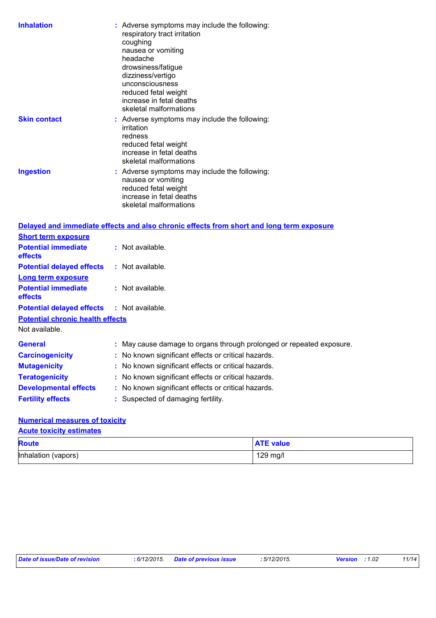|                                                       | : Adverse symptoms may include the following:<br>respiratory tract irritation<br>coughing<br>nausea or vomiting<br>headache<br>drowsiness/fatigue<br>dizziness/vertigo<br>unconsciousness<br>reduced fetal weight<br>increase in fetal deaths<br>skeletal malformations |  |
|-------------------------------------------------------|-------------------------------------------------------------------------------------------------------------------------------------------------------------------------------------------------------------------------------------------------------------------------|--|
| <b>Skin contact</b>                                   | : Adverse symptoms may include the following:<br>irritation<br>redness<br>reduced fetal weight<br>increase in fetal deaths<br>skeletal malformations                                                                                                                    |  |
| <b>Ingestion</b>                                      | : Adverse symptoms may include the following:<br>nausea or vomiting<br>reduced fetal weight                                                                                                                                                                             |  |
|                                                       | increase in fetal deaths<br>skeletal malformations                                                                                                                                                                                                                      |  |
|                                                       | Delayed and immediate effects and also chronic effects from short and long term exposure                                                                                                                                                                                |  |
| <b>Short term exposure</b>                            |                                                                                                                                                                                                                                                                         |  |
| <b>Potential immediate</b><br>effects                 | : Not available.                                                                                                                                                                                                                                                        |  |
| <b>Potential delayed effects</b>                      | : Not available.                                                                                                                                                                                                                                                        |  |
| <b>Long term exposure</b>                             |                                                                                                                                                                                                                                                                         |  |
| <b>Potential immediate</b><br>effects                 | : Not available.                                                                                                                                                                                                                                                        |  |
| <b>Potential delayed effects</b>                      | : Not available.                                                                                                                                                                                                                                                        |  |
| <b>Potential chronic health effects</b>               |                                                                                                                                                                                                                                                                         |  |
| Not available.                                        |                                                                                                                                                                                                                                                                         |  |
| <b>General</b>                                        | May cause damage to organs through prolonged or repeated exposure.                                                                                                                                                                                                      |  |
| <b>Carcinogenicity</b>                                | No known significant effects or critical hazards.                                                                                                                                                                                                                       |  |
|                                                       | No known significant effects or critical hazards.                                                                                                                                                                                                                       |  |
| <b>Mutagenicity</b>                                   |                                                                                                                                                                                                                                                                         |  |
| <b>Teratogenicity</b><br><b>Developmental effects</b> | No known significant effects or critical hazards.<br>No known significant effects or critical hazards.                                                                                                                                                                  |  |

#### **Numerical measures of toxicity**

| <b>Acute toxicity estimates</b> |                  |  |  |
|---------------------------------|------------------|--|--|
| <b>Route</b>                    | <b>ATE value</b> |  |  |
| Inhalation (vapors)             | $129$ mg/l       |  |  |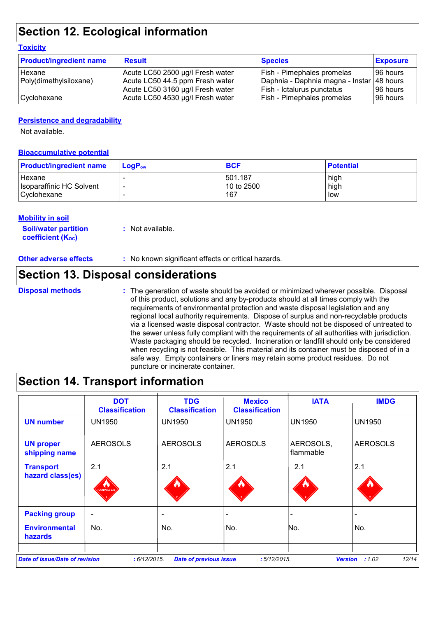### **Section 12. Ecological information**

#### **Toxicity**

| <b>Product/ingredient name</b> | <b>Result</b>                    | <b>Species</b>                            | <b>Exposure</b> |
|--------------------------------|----------------------------------|-------------------------------------------|-----------------|
| Hexane                         | Acute LC50 2500 µg/l Fresh water | <b>Fish - Pimephales promelas</b>         | 196 hours       |
| Poly(dimethylsiloxane)         | Acute LC50 44.5 ppm Fresh water  | Daphnia - Daphnia magna - Instar 48 hours |                 |
|                                | Acute LC50 3160 µg/l Fresh water | Fish - Ictalurus punctatus                | 196 hours       |
| Cyclohexane                    | Acute LC50 4530 µg/l Fresh water | Fish - Pimephales promelas                | 196 hours       |

#### **Persistence and degradability**

Not available.

#### **Bioaccumulative potential**

| <b>Product/ingredient name</b> | $LoaPow$ | <b>BCF</b> | <b>Potential</b> |
|--------------------------------|----------|------------|------------------|
| Hexane                         |          | 501.187    | high             |
| Isoparaffinic HC Solvent       |          | 10 to 2500 | high             |
| Cyclohexane                    |          | 167        | low              |

#### **Mobility in soil**

| <b>Soil/water partition</b> | : Not available. |
|-----------------------------|------------------|
| <b>coefficient (Koc)</b>    |                  |

#### **Other adverse effects** : No known significant effects or critical hazards.

### **Section 13. Disposal considerations**

#### **Disposal methods :**

The generation of waste should be avoided or minimized wherever possible. Disposal of this product, solutions and any by-products should at all times comply with the requirements of environmental protection and waste disposal legislation and any regional local authority requirements. Dispose of surplus and non-recyclable products via a licensed waste disposal contractor. Waste should not be disposed of untreated to the sewer unless fully compliant with the requirements of all authorities with jurisdiction. Waste packaging should be recycled. Incineration or landfill should only be considered when recycling is not feasible. This material and its container must be disposed of in a safe way. Empty containers or liners may retain some product residues. Do not puncture or incinerate container.

### **Section 14. Transport information**

|                                        | <b>DOT</b><br><b>Classification</b> | <b>TDG</b><br><b>Classification</b> | <b>Mexico</b><br><b>Classification</b> | <b>IATA</b>            | <b>IMDG</b>     |
|----------------------------------------|-------------------------------------|-------------------------------------|----------------------------------------|------------------------|-----------------|
| <b>UN number</b>                       | <b>UN1950</b>                       | <b>UN1950</b>                       | <b>UN1950</b>                          | <b>UN1950</b>          | <b>UN1950</b>   |
| <b>UN proper</b><br>shipping name      | <b>AEROSOLS</b>                     | <b>AEROSOLS</b>                     | <b>AEROSOLS</b>                        | AEROSOLS,<br>flammable | <b>AEROSOLS</b> |
| <b>Transport</b><br>hazard class(es)   | 2.1<br><b>ELAMMABLE GAS</b>         | 2.1<br>۹                            | 2.1                                    | 2.1                    | 2.1             |
| <b>Packing group</b>                   |                                     |                                     |                                        |                        |                 |
| <b>Environmental</b><br><b>hazards</b> | No.                                 | No.                                 | No.                                    | No.                    | No.             |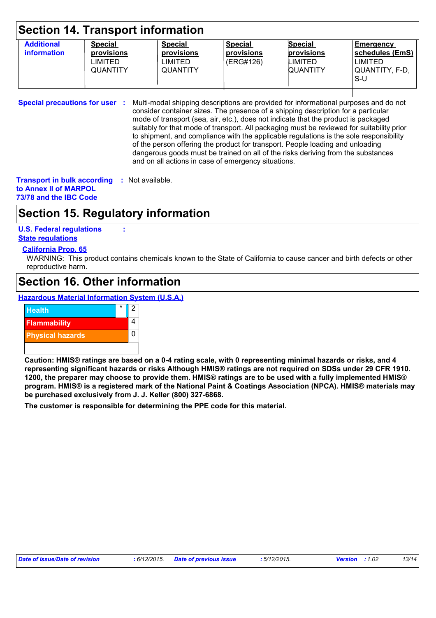| Section 14. Transport information       |                                                            |                                                                   |                                           |                                                            |                                                                     |
|-----------------------------------------|------------------------------------------------------------|-------------------------------------------------------------------|-------------------------------------------|------------------------------------------------------------|---------------------------------------------------------------------|
| <b>Additional</b><br><b>information</b> | <b>Special</b><br>provisions<br>LIMITED<br><b>QUANTITY</b> | <b>Special</b><br>provisions<br><b>LIMITED</b><br><b>QUANTITY</b> | <b>Special</b><br>provisions<br>(ERG#126) | <b>Special</b><br>provisions<br>LIMITED<br><b>QUANTITY</b> | Emergency<br>schedules (EmS)<br>LIMITED<br> QUANTITY, F-D,<br>$S-U$ |

**Special precautions for user :** Multi-modal shipping descriptions are provided for informational purposes and do not consider container sizes. The presence of a shipping description for a particular mode of transport (sea, air, etc.), does not indicate that the product is packaged suitably for that mode of transport. All packaging must be reviewed for suitability prior to shipment, and compliance with the applicable regulations is the sole responsibility of the person offering the product for transport. People loading and unloading dangerous goods must be trained on all of the risks deriving from the substances and on all actions in case of emergency situations.

**Transport in bulk according :** Not available. **to Annex II of MARPOL 73/78 and the IBC Code**

### **Section 15. Regulatory information**

**U.S. Federal regulations :**

**State regulations**

#### **California Prop. 65**

WARNING: This product contains chemicals known to the State of California to cause cancer and birth defects or other reproductive harm.

### **Section 16. Other information**

**Hazardous Material Information System (U.S.A.)**



**Caution: HMIS® ratings are based on a 0-4 rating scale, with 0 representing minimal hazards or risks, and 4 representing significant hazards or risks Although HMIS® ratings are not required on SDSs under 29 CFR 1910. 1200, the preparer may choose to provide them. HMIS® ratings are to be used with a fully implemented HMIS® program. HMIS® is a registered mark of the National Paint & Coatings Association (NPCA). HMIS® materials may be purchased exclusively from J. J. Keller (800) 327-6868.**

**The customer is responsible for determining the PPE code for this material.**